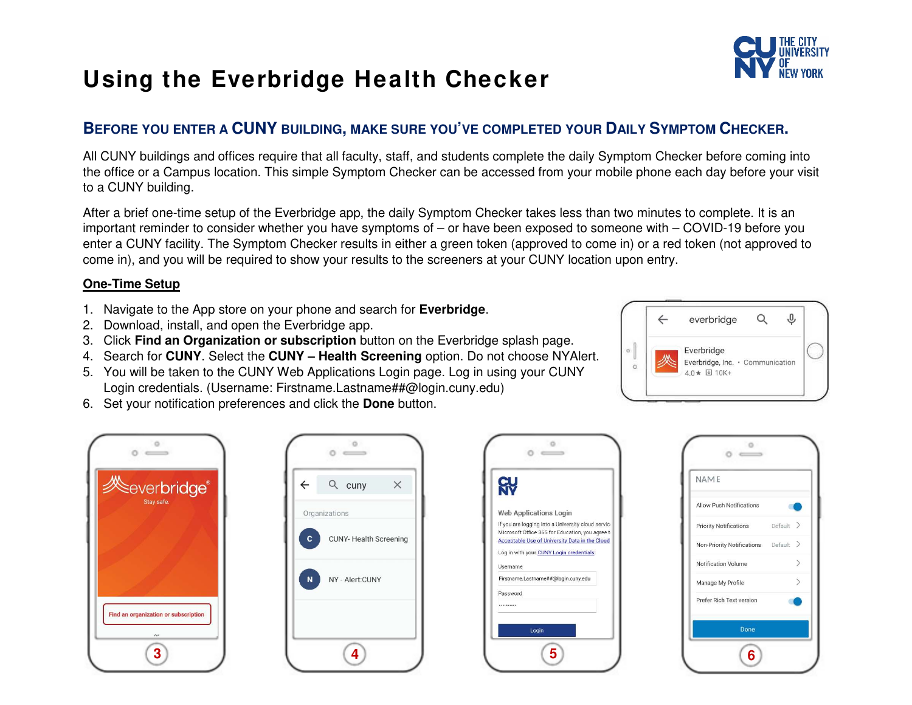

## **Using the Everbridge Health Checker**

## **BEFORE YOU ENTER A CUNY BUILDING, MAKE SURE YOU'VE COMPLETED YOUR DAILY SYMPTOM CHECKER.**

All CUNY buildings and offices require that all faculty, staff, and students complete the daily Symptom Checker before coming into the office or a Campus location. This simple Symptom Checker can be accessed from your mobile phone each day before your visit to a CUNY building.

After a brief one-time setup of the Everbridge app, the daily Symptom Checker takes less than two minutes to complete. It is an important reminder to consider whether you have symptoms of – or have been exposed to someone with – COVID-19 before you enter a CUNY facility. The Symptom Checker results in either a green token (approved to come in) or a red token (not approved to come in), and you will be required to show your results to the screeners at your CUNY location upon entry.

## **One-Time Setup**

- 1. Navigate to the App store on your phone and search for **Everbridge**.
- 2. Download, install, and open the Everbridge app.
- 3. Click **Find an Organization or subscription** button on the Everbridge splash page.
- 4. Search for **CUNY**. Select the **CUNY Health Screening** option. Do not choose NYAlert.
- 5. You will be taken to the CUNY Web Applications Login page. Log in using your CUNY Login credentials. (Username: Firstname.Lastname##@login.cuny.edu)
- 6. Set your notification preferences and click the **Done** button.